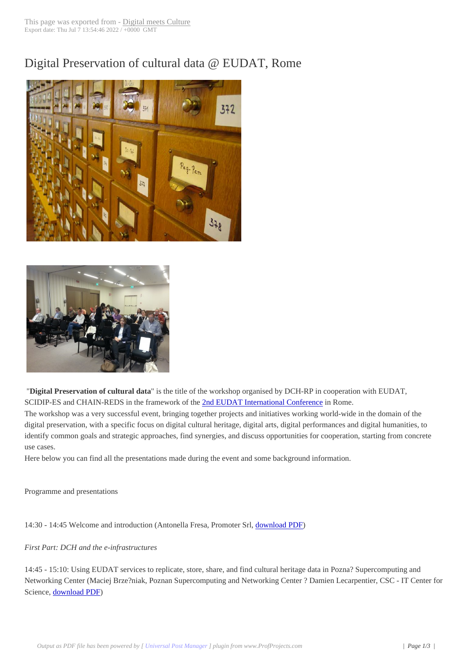# Digital Preservatio[n of cultural da](http://www.digitalmeetsculture.net/?p=18636)ta @ EUDAT, Rome





 "**Digital Preservation of cultural data**" is the title of the workshop organised by DCH-RP in cooperation with EUDAT, SCIDIP-ES and CHAIN-REDS in the framework of the 2nd EUDAT International Conference in Rome.

The workshop was a very successful event, bringing together projects and initiatives working world-wide in the domain of the digital preservation, with a specific focus on digital cultural heritage, digital arts, digital performances and digital humanities, to identify common goals and strategic approaches, find sy[nergies, and discuss opportunities for c](http://www.digitalmeetsculture.net/article/eudat-2nd-conference/)ooperation, starting from concrete use cases.

Here below you can find all the presentations made during the event and some background information.

Programme and presentations

14:30 - 14:45 Welcome and introduction (Antonella Fresa, Promoter Srl, download PDF)

## *First Part: DCH and the e-infrastructures*

14:45 - 15:10: Using EUDAT services to replicate, store, share, and find [cultural heritage](http://www.digitalmeetsculture.net/wp-content/uploads/2013/09/Fresa-Introduction.pdf) data in Pozna? Supercomputing and Networking Center (Maciej Brze?niak, Poznan Supercomputing and Networking Center ? Damien Lecarpentier, CSC - IT Center for Science, download PDF)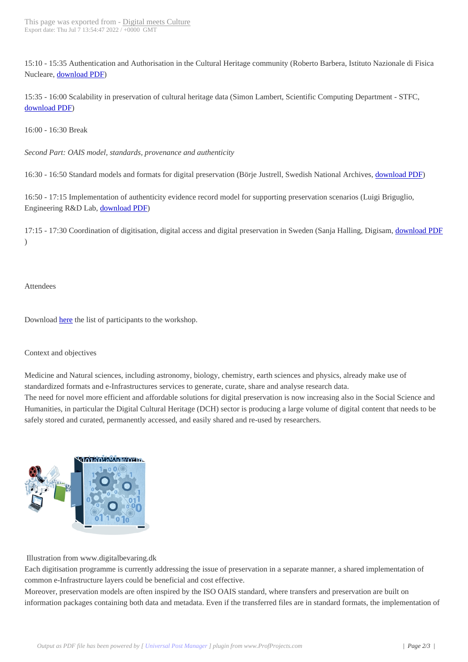15:10 - 15:35 Authentication a[nd Authorisation in th](http://www.digitalmeetsculture.net/?p=18636)e Cultural Heritage community (Roberto Barbera, Istituto Nazionale di Fisica Nucleare, download PDF)

15:35 - 16:00 Scalability in preservation of cultural heritage data (Simon Lambert, Scientific Computing Department - STFC, download [PDF\)](http://www.digitalmeetsculture.net/wp-content/uploads/2013/09/Barbera-Authentication-and-Authorisation-in-the-Cultural-Heritage-Community.pdf)

16:00 - 16:30 Break

*[Second Part: O](http://www.digitalmeetsculture.net/wp-content/uploads/2013/09/Lambert-Scalability-in-preservation-of-cultural-heritage-data.pdf)AIS model, standards, provenance and authenticity*

16:30 - 16:50 Standard models and formats for digital preservation (Börje Justrell, Swedish National Archives, download PDF)

16:50 - 17:15 Implementation of authenticity evidence record model for supporting preservation scenarios (Luigi Briguglio, Engineering R&D Lab, download PDF)

17:15 - 17:30 Coordination of digitisation, digital access and digital preservation in Sweden (Sanja Halling, Digisam, download PDF )

Attendees

Download here the list of participants to the workshop.

#### Context an[d obj](http://www.digitalmeetsculture.net/wp-content/uploads/2013/09/Attendees-DigitalPreservationCulturalDataWorkshop.pdf)ectives

Medicine and Natural sciences, including astronomy, biology, chemistry, earth sciences and physics, already make use of standardized formats and e-Infrastructures services to generate, curate, share and analyse research data.

The need for novel more efficient and affordable solutions for digital preservation is now increasing also in the Social Science and Humanities, in particular the Digital Cultural Heritage (DCH) sector is producing a large volume of digital content that needs to be safely stored and curated, permanently accessed, and easily shared and re-used by researchers.



Illustration from www.digitalbevaring.dk

Each digitisation programme is currently addressing the issue of preservation in a separate manner, a shared implementation of common e-Infrastructure layers could be beneficial and cost effective.

Moreover, preservation models are often inspired by the ISO OAIS standard, where transfers and preservation are built on information packages containing both data and metadata. Even if the transferred files are in standard formats, the implementation of